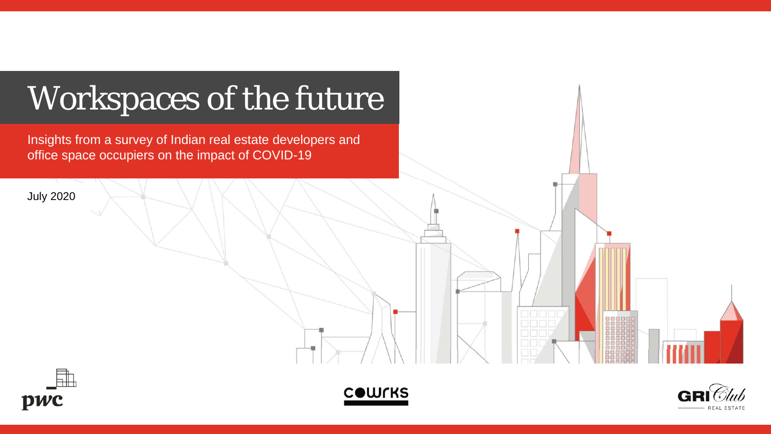





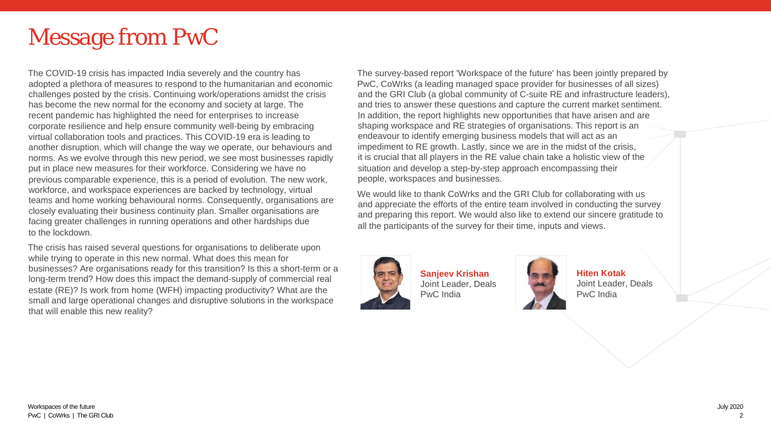# Message from PwC

The COVID-19 crisis has impacted India severely and the country has adopted a plethora of measures to respond to the humanitarian and economic challenges posted by the crisis. Continuing work/operations amidst the crisis has become the new normal for the economy and society at large. The recent pandemic has highlighted the need for enterprises to increase corporate resilience and help ensure community well-being by embracing virtual collaboration tools and practices. This COVID-19 era is leading to another disruption, which will change the way we operate, our behaviours and norms. As we evolve through this new period, we see most businesses rapidly put in place new measures for their workforce. Considering we have no previous comparable experience, this is a period of evolution. The new work, workforce, and workspace experiences are backed by technology, virtual teams and home working behavioural norms. Consequently, organisations are closely evaluating their business continuity plan. Smaller organisations are facing greater challenges in running operations and other hardships due to the lockdown.

The crisis has raised several questions for organisations to deliberate upon while trying to operate in this new normal. What does this mean for businesses? Are organisations ready for this transition? Is this a short-term or a long-term trend? How does this impact the demand-supply of commercial real estate (RE)? Is work from home (WFH) impacting productivity? What are the small and large operational changes and disruptive solutions in the workspace that will enable this new reality?

The survey-based report 'Workspace of the future' has been jointly prepared by PwC, CoWrks (a leading managed space provider for businesses of all sizes) and the GRI Club (a global community of C-suite RE and infrastructure leaders), and tries to answer these questions and capture the current market sentiment. In addition, the report highlights new opportunities that have arisen and are shaping workspace and RE strategies of organisations. This report is an endeavour to identify emerging business models that will act as an impediment to RE growth. Lastly, since we are in the midst of the crisis, it is crucial that all players in the RE value chain take a holistic view of the situation and develop a step-by-step approach encompassing their people, workspaces and businesses.

We would like to thank CoWrks and the GRI Club for collaborating with us and appreciate the efforts of the entire team involved in conducting the survey and preparing this report. We would also like to extend our sincere gratitude to all the participants of the survey for their time, inputs and views.



**Sanjeev Krishan** Joint Leader, Deals PwC India



**Hiten Kotak** Joint Leader, Deals PwC India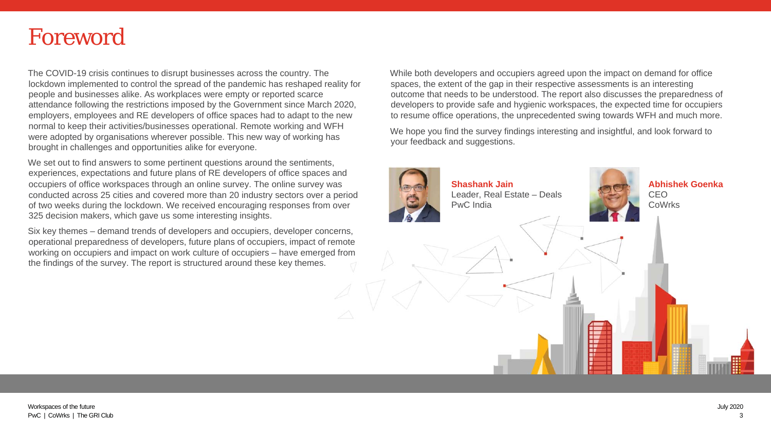# Foreword

The COVID-19 crisis continues to disrupt businesses across the country. The lockdown implemented to control the spread of the pandemic has reshaped reality for people and businesses alike. As workplaces were empty or reported scarce attendance following the restrictions imposed by the Government since March 2020, employers, employees and RE developers of office spaces had to adapt to the new normal to keep their activities/businesses operational. Remote working and WFH were adopted by organisations wherever possible. This new way of working has brought in challenges and opportunities alike for everyone.

We set out to find answers to some pertinent questions around the sentiments, experiences, expectations and future plans of RE developers of office spaces and occupiers of office workspaces through an online survey. The online survey was conducted across 25 cities and covered more than 20 industry sectors over a period of two weeks during the lockdown. We received encouraging responses from over 325 decision makers, which gave us some interesting insights.

Six key themes – demand trends of developers and occupiers, developer concerns, operational preparedness of developers, future plans of occupiers, impact of remote working on occupiers and impact on work culture of occupiers – have emerged from the findings of the survey. The report is structured around these key themes.

While both developers and occupiers agreed upon the impact on demand for office spaces, the extent of the gap in their respective assessments is an interesting outcome that needs to be understood. The report also discusses the preparedness of developers to provide safe and hygienic workspaces, the expected time for occupiers to resume office operations, the unprecedented swing towards WFH and much more.

We hope you find the survey findings interesting and insightful, and look forward to your feedback and suggestions.

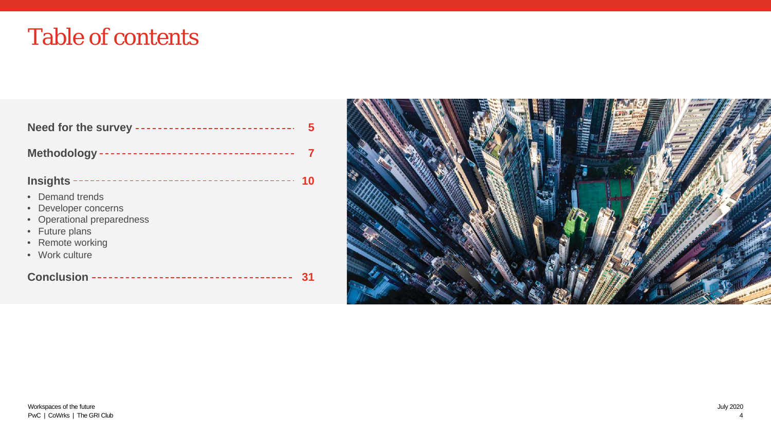# Table of contents

| Need for the survey -----------------------------                                                                                                    |
|------------------------------------------------------------------------------------------------------------------------------------------------------|
| Methodology -----------------------------------                                                                                                      |
| <b>Insights</b><br>10<br>• Demand trends<br>Developer concerns<br>• Operational preparedness<br>• Future plans<br>• Remote working<br>• Work culture |
| -------------------------------<br><b>Conclusion</b>                                                                                                 |

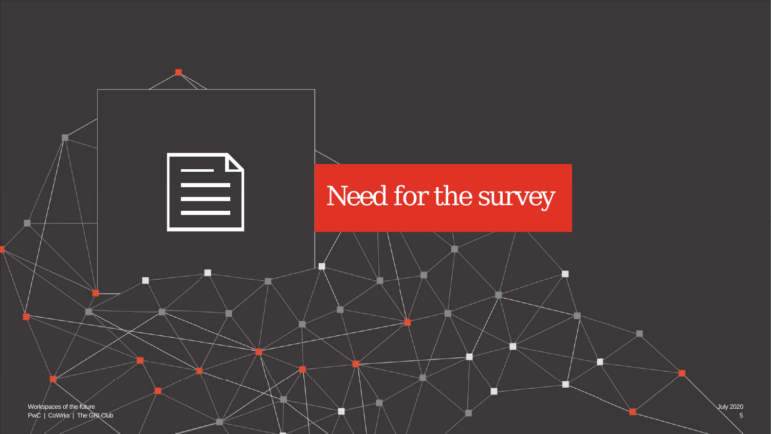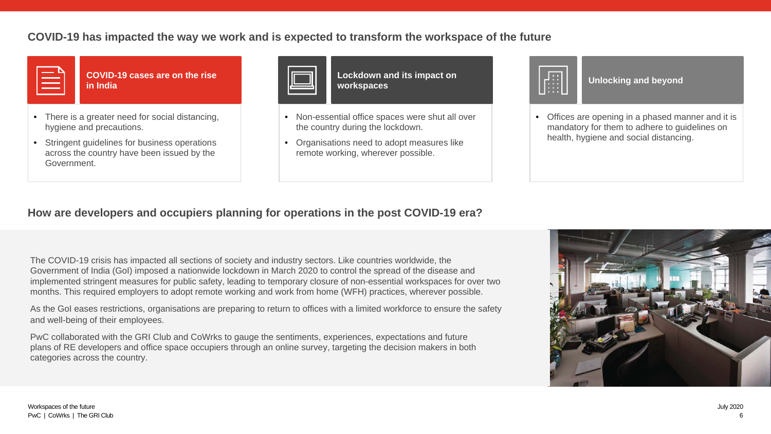## **COVID-19 has impacted the way we work and is expected to transform the workspace of the future**



**COVID-19 cases are on the rise in India**

- There is a greater need for social distancing, hygiene and precautions.
- Stringent guidelines for business operations across the country have been issued by the Government.



**Lockdown and its impact on workspaces**

- Non-essential office spaces were shut all over the country during the lockdown.
- Organisations need to adopt measures like remote working, wherever possible.



**Unlocking and beyond**

• Offices are opening in a phased manner and it is mandatory for them to adhere to guidelines on health, hygiene and social distancing.

## **How are developers and occupiers planning for operations in the post COVID-19 era?**

The COVID-19 crisis has impacted all sections of society and industry sectors. Like countries worldwide, the Government of India (GoI) imposed a nationwide lockdown in March 2020 to control the spread of the disease and implemented stringent measures for public safety, leading to temporary closure of non-essential workspaces for over two months. This required employers to adopt remote working and work from home (WFH) practices, wherever possible.

As the GoI eases restrictions, organisations are preparing to return to offices with a limited workforce to ensure the safety and well-being of their employees.

PwC collaborated with the GRI Club and CoWrks to gauge the sentiments, experiences, expectations and future plans of RE developers and office space occupiers through an online survey, targeting the decision makers in both categories across the country.

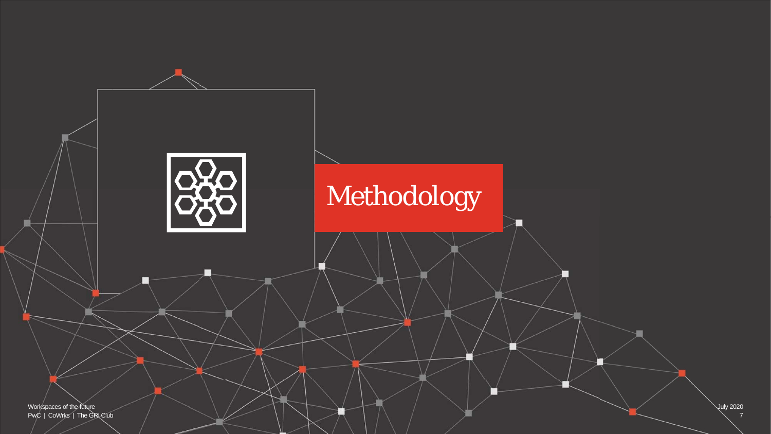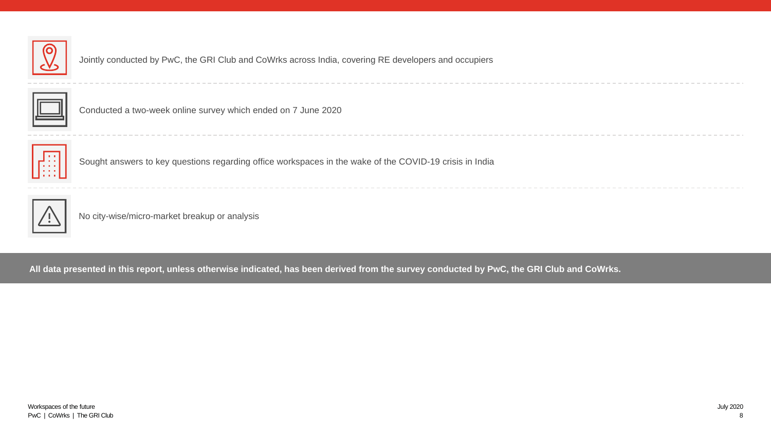

Jointly conducted by PwC, the GRI Club and CoWrks across India, covering RE developers and occupiers



Conducted a two-week online survey which ended on 7 June 2020



Sought answers to key questions regarding office workspaces in the wake of the COVID-19 crisis in India



No city-wise/micro-market breakup or analysis

**All data presented in this report, unless otherwise indicated, has been derived from the survey conducted by PwC, the GRI Club and CoWrks.**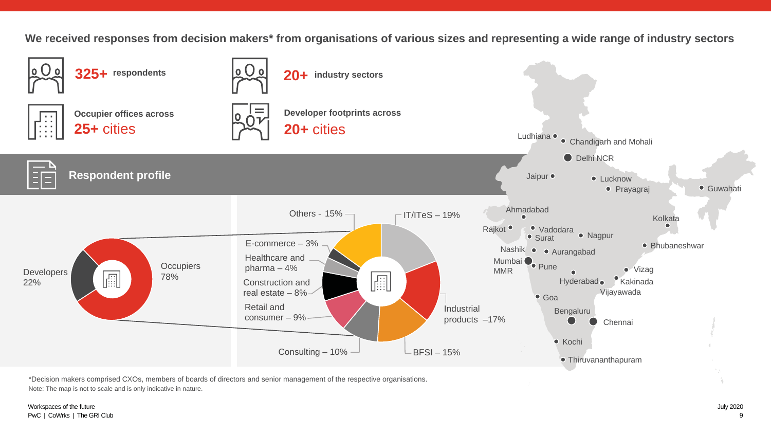**We received responses from decision makers\* from organisations of various sizes and representing a wide range of industry sectors**



\*Decision makers comprised CXOs, members of boards of directors and senior management of the respective organisations. Note: The map is not to scale and is only indicative in nature.

### Workspaces of the future PwC | CoWrks | The GRI Club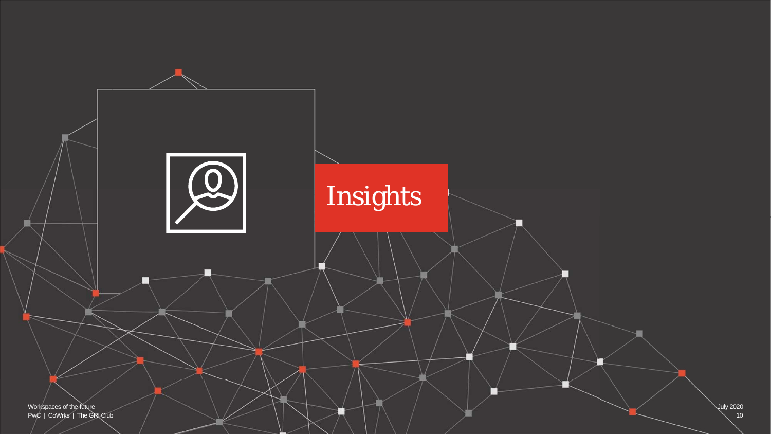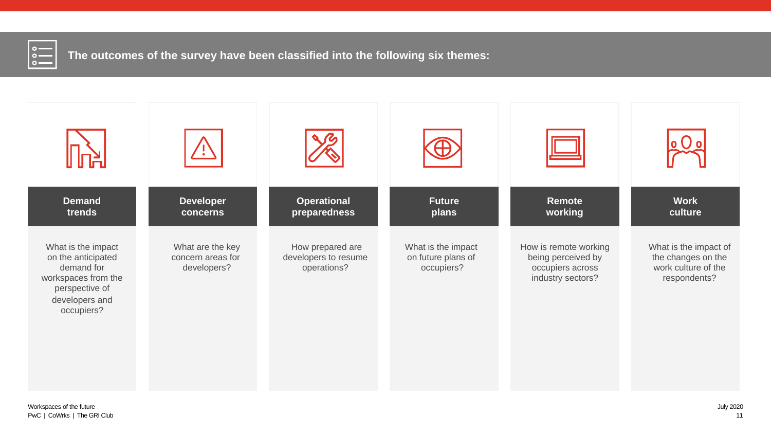

**The outcomes of the survey have been classified into the following six themes:**

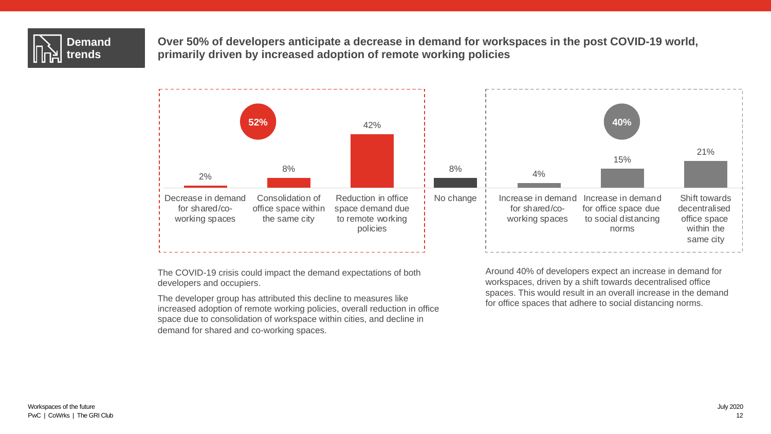

**Over 50% of developers anticipate a decrease in demand for workspaces in the post COVID-19 world, primarily driven by increased adoption of remote working policies**



The COVID-19 crisis could impact the demand expectations of both developers and occupiers.

The developer group has attributed this decline to measures like increased adoption of remote working policies, overall reduction in office space due to consolidation of workspace within cities, and decline in demand for shared and co-working spaces.

Around 40% of developers expect an increase in demand for workspaces, driven by a shift towards decentralised office spaces. This would result in an overall increase in the demand for office spaces that adhere to social distancing norms.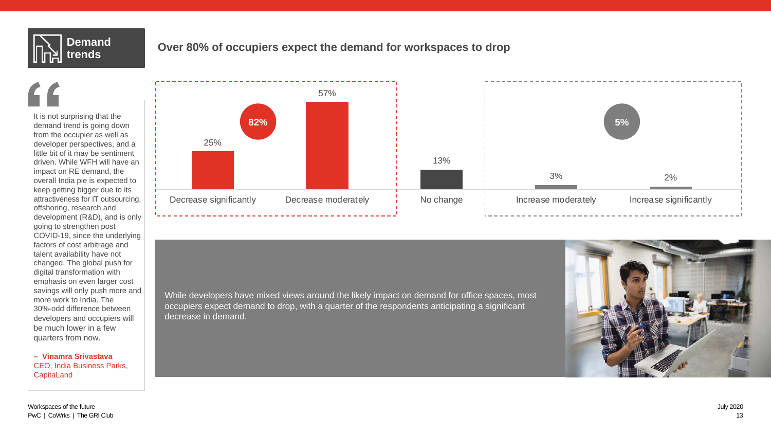

# **trends Over 80% of occupiers expect the demand for workspaces to drop**

It is not surprising that the demand trend is going down from the occupier as well as developer perspectives, and a little bit of it may be sentiment driven. While WFH will have an impact on RE demand, the overall India pie is expected to keep getting bigger due to its attractiveness for IT outsourcing, offshoring, research and development (R&D), and is only going to strengthen post COVID-19, since the underlying factors of cost arbitrage and talent availability have not changed. The global push for digital transformation with emphasis on even larger cost savings will only push more and more work to India. The 30%-odd difference between developers and occupiers will be much lower in a few quarters from now.

**– Vinamra Srivastava** CEO, India Business Parks, **CapitaLand** 



While developers have mixed views around the likely impact on demand for office spaces, most occupiers expect demand to drop, with a quarter of the respondents anticipating a significant decrease in demand.

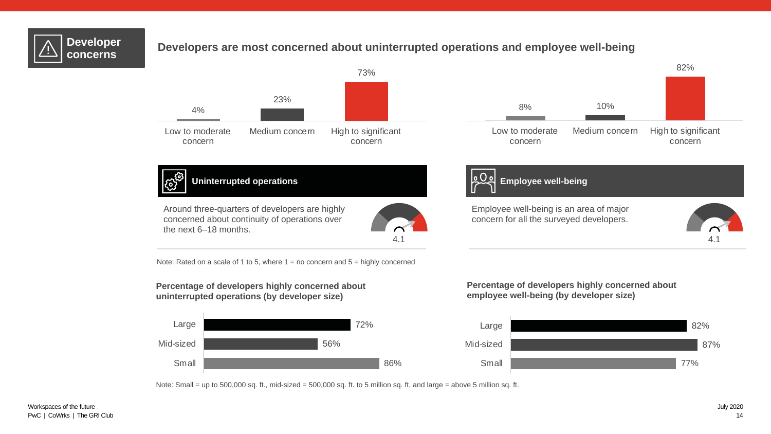

# **Developer Developers are most concerned about uninterrupted operations and employee well-being**

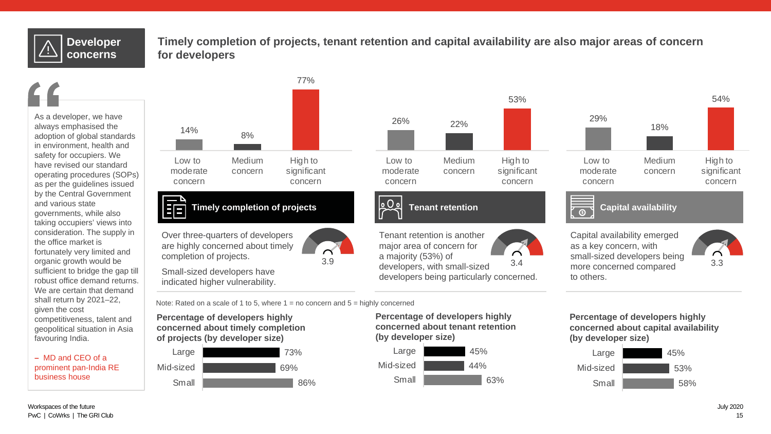# **Developer concerns**

## **Timely completion of projects, tenant retention and capital availability are also major areas of concern for developers**

26% 22%

Medium concern

**Tenant retention**

Low to moderate concern

53%

High to significant concern



**–** MD and CEO of a prominent pan-India RE business house



**Timely completion of projects**

Over three-quarters of developers are highly concerned about timely completion of projects.

Small-sized developers have indicated higher vulnerability.

Tenant retention is another major area of concern for a majority (53%) of

Note: Rated on a scale of 1 to 5, where  $1 =$  no concern and  $5 =$  highly concerned

**Percentage of developers highly concerned about timely completion of projects (by developer size)**





developers being particularly concerned.

| Large     | 45% |
|-----------|-----|
| Mid-sized | 44% |
| Small     | 63% |



 $\overline{\circ}$ 

a majority (33%) of 3.4 3.9 3 small-sized developers being 3.3<br>developers, with small-sized 3.4 more concerned compared 3.3 Capital availability emerged as a key concern, with small-sized developers being more concerned compared to others.



**Percentage of developers highly concerned about capital availability (by developer size)**

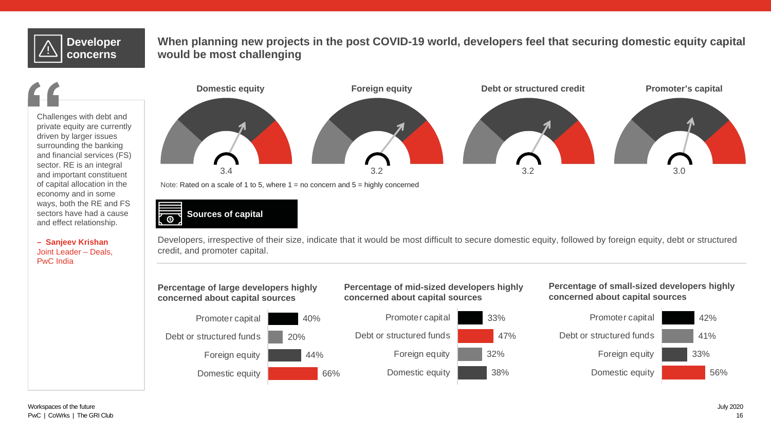# **Developer concerns**

## **When planning new projects in the post COVID-19 world, developers feel that securing domestic equity capital would be most challenging**

Challenges with debt and private equity are currently driven by larger issues surrounding the banking and financial services (FS) sector. RE is an integral and important constituent of capital allocation in the economy and in some ways, both the RE and FS sectors have had a cause and effect relationship.

**– Sanjeev Krishan** Joint Leader – Deals, PwC India





Developers, irrespective of their size, indicate that it would be most difficult to secure domestic equity, followed by foreign equity, debt or structured credit, and promoter capital.

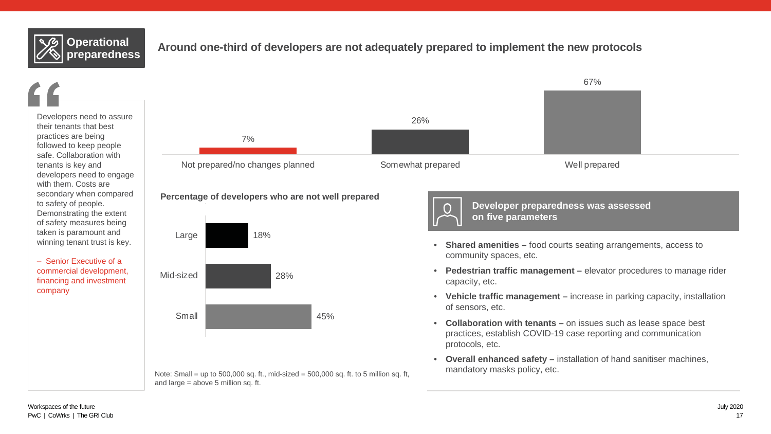

## Around one-third of developers are not adequately prepared to implement the new protocols

Developers need to assure their tenants that best practices are being followed to keep people safe. Collaboration with tenants is key and developers need to engage with them. Costs are secondary when compared to safety of people. Demonstrating the extent of safety measures being taken is paramount and winning tenant trust is key.

– Senior Executive of a commercial development, financing and investment company



### **Percentage of developers who are not well prepared**



Note: Small = up to  $500,000$  sq. ft., mid-sized =  $500,000$  sq. ft. to 5 million sq. ft, and large = above 5 million sq. ft.

- **Developer preparedness was assessed on five parameters**
- **Shared amenities** food courts seating arrangements, access to community spaces, etc.
- **Pedestrian traffic management** elevator procedures to manage rider capacity, etc.
- **Vehicle traffic management** increase in parking capacity, installation of sensors, etc.
- **Collaboration with tenants** on issues such as lease space best practices, establish COVID-19 case reporting and communication protocols, etc.
- **Overall enhanced safety** installation of hand sanitiser machines, mandatory masks policy, etc.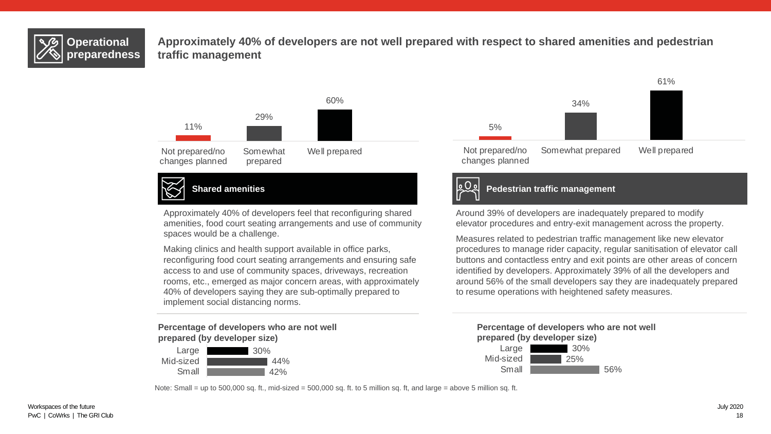

**Approximately 40% of developers are not well prepared with respect to shared amenities and pedestrian traffic management**



Approximately 40% of developers feel that reconfiguring shared amenities, food court seating arrangements and use of community spaces would be a challenge.

Making clinics and health support available in office parks, reconfiguring food court seating arrangements and ensuring safe access to and use of community spaces, driveways, recreation rooms, etc., emerged as major concern areas, with approximately 40% of developers saying they are sub-optimally prepared to implement social distancing norms.

**Percentage of developers who are not well prepared (by developer size)**







### **Shared amenities Pedestrian traffic management**

Around 39% of developers are inadequately prepared to modify elevator procedures and entry-exit management across the property.

Measures related to pedestrian traffic management like new elevator procedures to manage rider capacity, regular sanitisation of elevator call buttons and contactless entry and exit points are other areas of concern identified by developers. Approximately 39% of all the developers and around 56% of the small developers say they are inadequately prepared to resume operations with heightened safety measures.





Note: Small = up to 500,000 sq. ft., mid-sized = 500,000 sq. ft. to 5 million sq. ft, and large = above 5 million sq. ft.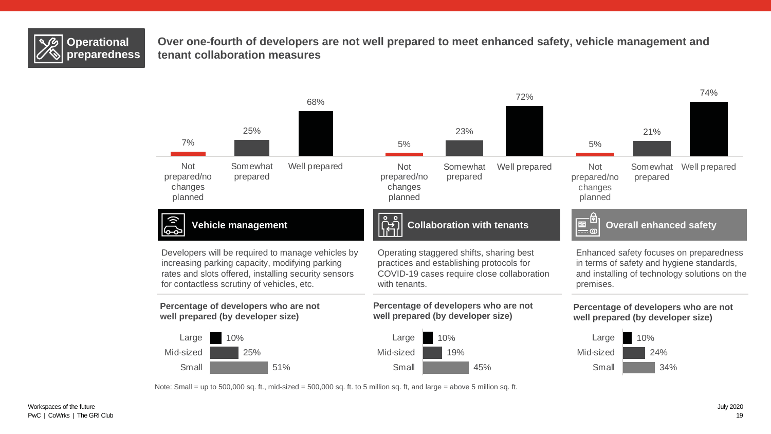

**Over one-fourth of developers are not well prepared to meet enhanced safety, vehicle management and tenant collaboration measures**



Note: Small = up to 500,000 sq. ft., mid-sized =  $500,000$  sq. ft. to 5 million sq. ft, and large = above 5 million sq. ft.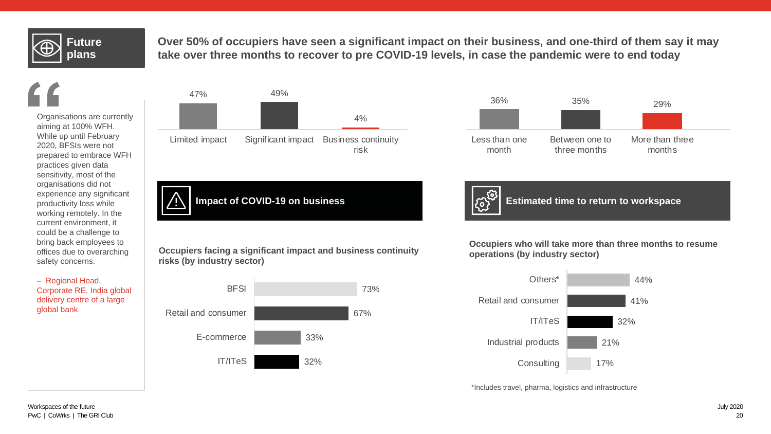# **Future plans**

**Over 50% of occupiers have seen a significant impact on their business, and one-third of them say it may take over three months to recover to pre COVID-19 levels, in case the pandemic were to end today**

Organisations are currently aiming at 100% WFH. While up until February 2020, BFSIs were not prepared to embrace WFH practices given data sensitivity, most of the organisations did not experience any significant productivity loss while working remotely. In the current environment, it could be a challenge to bring back employees to offices due to overarching safety concerns.

– Regional Head, Corporate RE, India global delivery centre of a large global bank





**Impact of COVID-19 on business Example 2018 Extimated time to return to workspace** 

**Occupiers facing a significant impact and business continuity risks (by industry sector)**



**Occupiers who will take more than three months to resume operations (by industry sector)**



\*Includes travel, pharma, logistics and infrastructure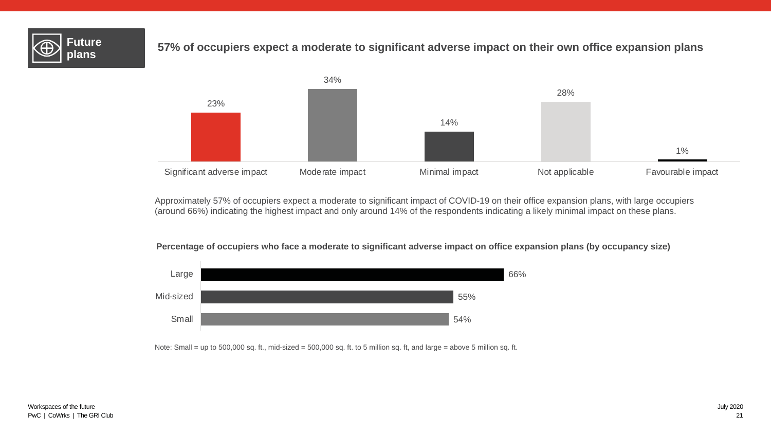

# **plans 57% of occupiers expect a moderate to significant adverse impact on their own office expansion plans**



Approximately 57% of occupiers expect a moderate to significant impact of COVID-19 on their office expansion plans, with large occupiers (around 66%) indicating the highest impact and only around 14% of the respondents indicating a likely minimal impact on these plans.

### **Percentage of occupiers who face a moderate to significant adverse impact on office expansion plans (by occupancy size)**



Note: Small = up to 500,000 sq. ft., mid-sized = 500,000 sq. ft. to 5 million sq. ft, and large = above 5 million sq. ft.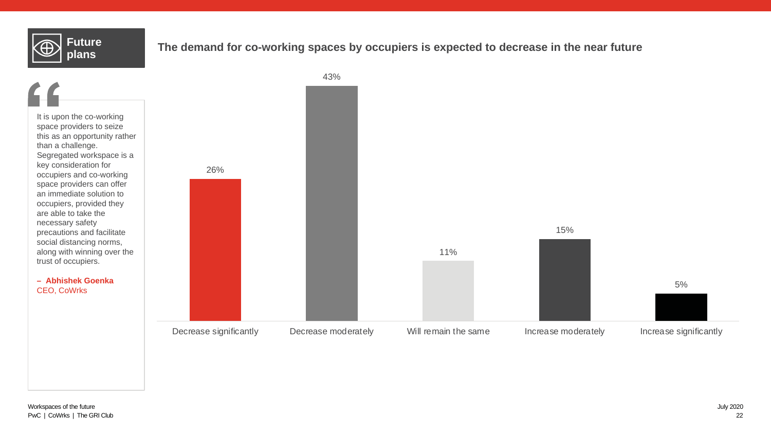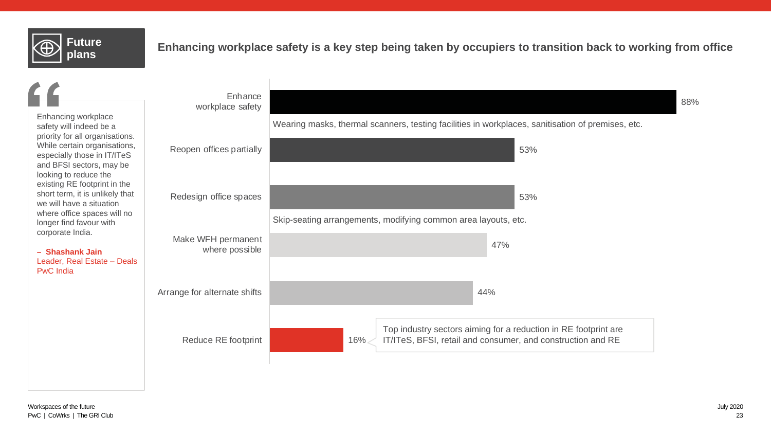

# **Puttile Enhancing workplace safety is a key step being taken by occupiers to transition back to working from office**<br>plans

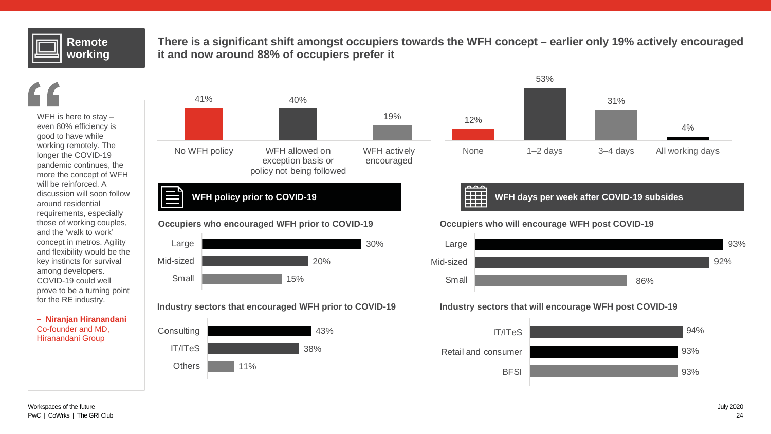# **Remote working**

**There is a significant shift amongst occupiers towards the WFH concept – earlier only 19% actively encouraged it and now around 88% of occupiers prefer it**

WFH is here to stay – even 80% efficiency is good to have while working remotely. The longer the COVID-19 pandemic continues, the more the concept of WFH will be reinforced. A discussion will soon follow around residential requirements, especially those of working couples, and the 'walk to work' concept in metros. Agility and flexibility would be the key instincts for survival among developers. COVID-19 could well prove to be a turning point for the RE industry.

**– Niranjan Hiranandani** Co-founder and MD, Hiranandani Group





ممم



### Industry sectors that will encourage WFH post COVID-19

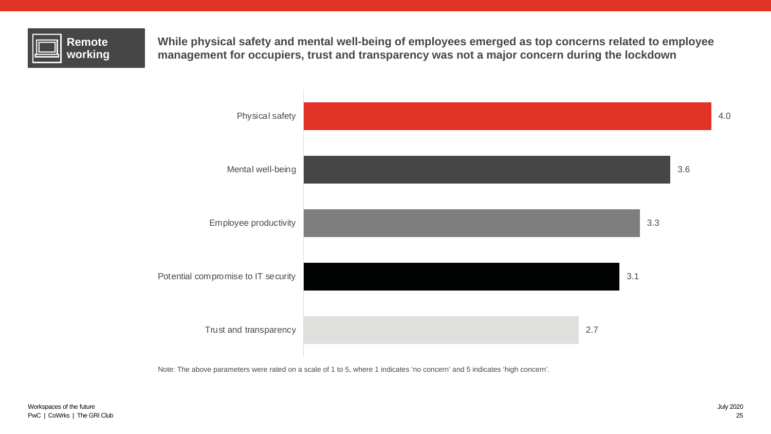

**While physical safety and mental well-being of employees emerged as top concerns related to employee management for occupiers, trust and transparency was not a major concern during the lockdown**



Note: The above parameters were rated on a scale of 1 to 5, where 1 indicates 'no concern' and 5 indicates 'high concern'.

4.0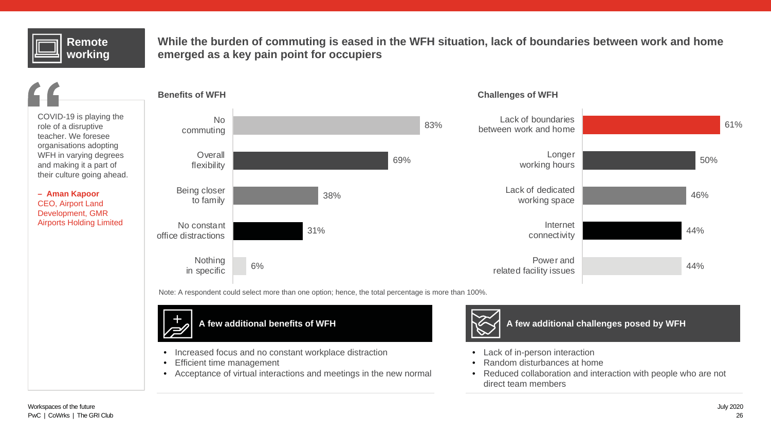# **Remote working**

**While the burden of commuting is eased in the WFH situation, lack of boundaries between work and home emerged as a key pain point for occupiers**

COVID-19 is playing the role of a disruptive teacher. We foresee organisations adopting WFH in varying degrees and making it a part of their culture going ahead.

**– Aman Kapoor** CEO, Airport Land Development, GMR Airports Holding Limited



Note: A respondent could select more than one option; hence, the total percentage is more than 100%.



- Increased focus and no constant workplace distraction
- **Efficient time management**
- Acceptance of virtual interactions and meetings in the new normal



**A few additional challenges posed by WFH**

- Lack of in-person interaction
- Random disturbances at home
- Reduced collaboration and interaction with people who are not direct team members

44%

44%

46%

50%

61%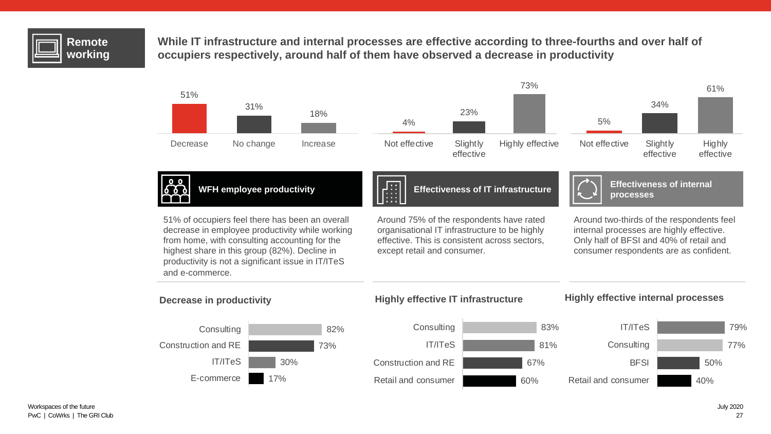

**While IT infrastructure and internal processes are effective according to three-fourths and over half of occupiers respectively, around half of them have observed a decrease in productivity**

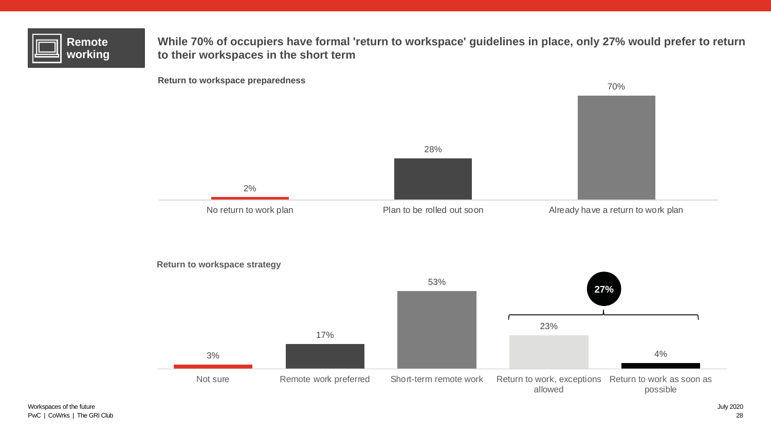| <b>Remote</b><br>workina |  |
|--------------------------|--|
|--------------------------|--|

**While 70% of occupiers have formal 'return to workspace' guidelines in place, only 27% would prefer to return to their workspaces in the short term**

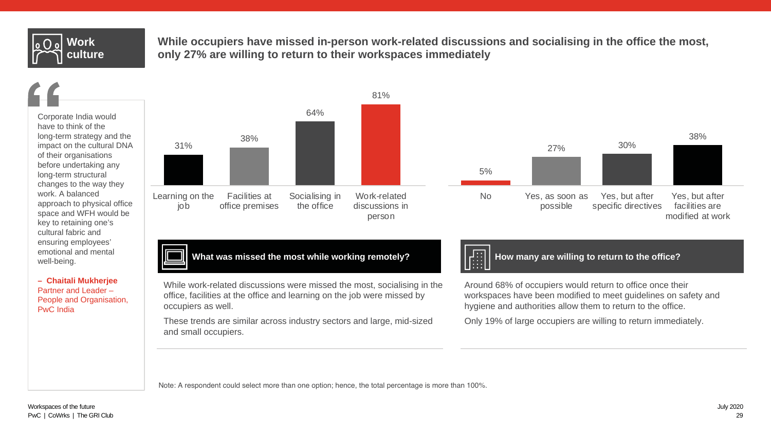

**While occupiers have missed in-person work-related discussions and socialising in the office the most, only 27% are willing to return to their workspaces immediately**

Corporate India would have to think of the long-term strategy and the impact on the cultural DNA of their organisations before undertaking any long-term structural changes to the way they work. A balanced approach to physical office space and WFH would be key to retaining one's cultural fabric and ensuring employees' emotional and mental well-being.

**– Chaitali Mukherjee**  Partner and Leader – People and Organisation, PwC India



**What was missed the most while working remotely?**

While work-related discussions were missed the most, socialising in the office, facilities at the office and learning on the job were missed by occupiers as well.

These trends are similar across industry sectors and large, mid-sized and small occupiers.



5%

No Yes, as soon as

possible

**How many are willing to return to the office?**

27% 30%

Yes, but after specific directives

Around 68% of occupiers would return to office once their workspaces have been modified to meet guidelines on safety and hygiene and authorities allow them to return to the office.

Only 19% of large occupiers are willing to return immediately.

Note: A respondent could select more than one option; hence, the total percentage is more than 100%.

38%

Yes, but after facilities are modified at work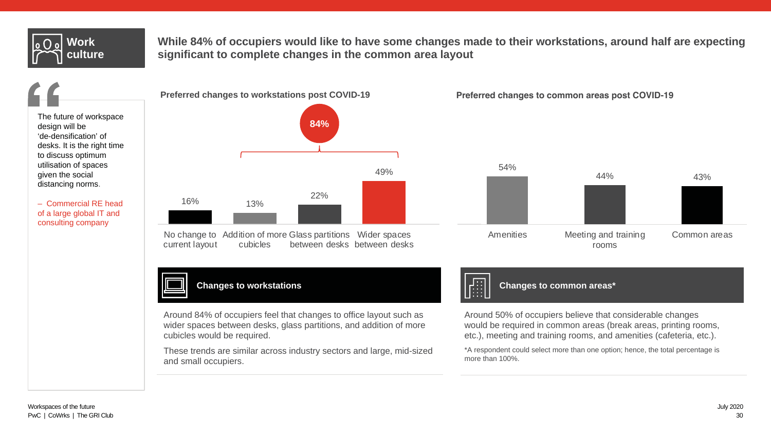

**While 84% of occupiers would like to have some changes made to their workstations, around half are expecting significant to complete changes in the common area layout**

The future of workspace design will be 'de-densification' of desks. It is the right time to discuss optimum utilisation of spaces given the social distancing norms.

– Commercial RE head of a large global IT and consulting company



**Preferred changes to common areas post COVID-19**



**Changes to workstations**

Around 84% of occupiers feel that changes to office layout such as wider spaces between desks, glass partitions, and addition of more cubicles would be required.

These trends are similar across industry sectors and large, mid-sized and small occupiers.



**Changes to common areas\***

Around 50% of occupiers believe that considerable changes would be required in common areas (break areas, printing rooms, etc.), meeting and training rooms, and amenities (cafeteria, etc.).

\*A respondent could select more than one option; hence, the total percentage is more than 100%.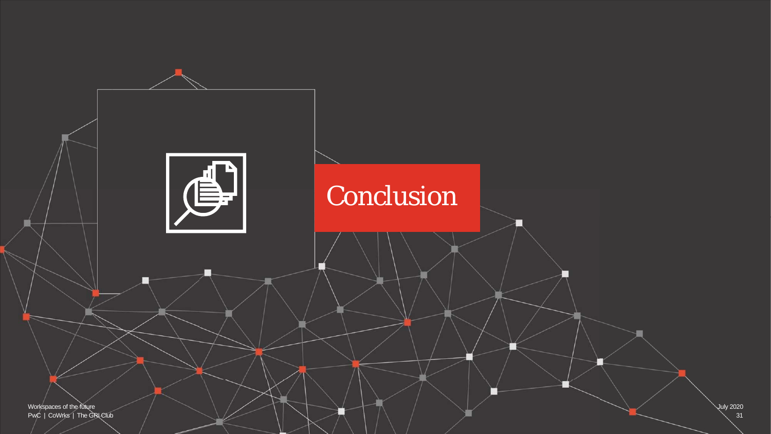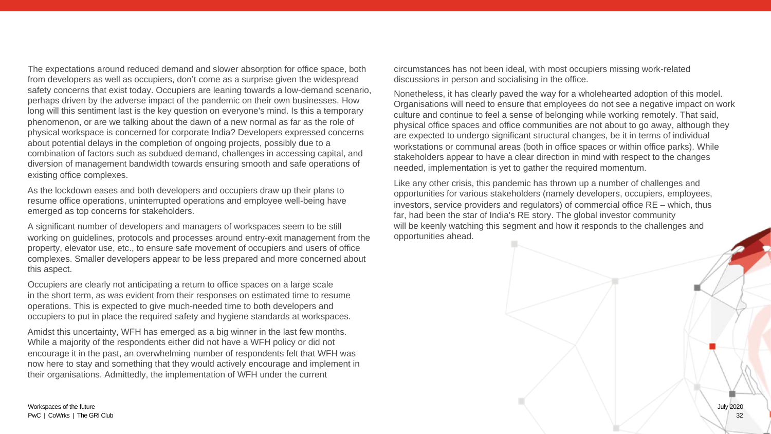The expectations around reduced demand and slower absorption for office space, both from developers as well as occupiers, don't come as a surprise given the widespread safety concerns that exist today. Occupiers are leaning towards a low-demand scenario, perhaps driven by the adverse impact of the pandemic on their own businesses. How long will this sentiment last is the key question on everyone's mind. Is this a temporary phenomenon, or are we talking about the dawn of a new normal as far as the role of physical workspace is concerned for corporate India? Developers expressed concerns about potential delays in the completion of ongoing projects, possibly due to a combination of factors such as subdued demand, challenges in accessing capital, and diversion of management bandwidth towards ensuring smooth and safe operations of existing office complexes.

As the lockdown eases and both developers and occupiers draw up their plans to resume office operations, uninterrupted operations and employee well-being have emerged as top concerns for stakeholders.

A significant number of developers and managers of workspaces seem to be still working on guidelines, protocols and processes around entry-exit management from the property, elevator use, etc., to ensure safe movement of occupiers and users of office complexes. Smaller developers appear to be less prepared and more concerned about this aspect.

Occupiers are clearly not anticipating a return to office spaces on a large scale in the short term, as was evident from their responses on estimated time to resume operations. This is expected to give much-needed time to both developers and occupiers to put in place the required safety and hygiene standards at workspaces.

Amidst this uncertainty, WFH has emerged as a big winner in the last few months. While a majority of the respondents either did not have a WFH policy or did not encourage it in the past, an overwhelming number of respondents felt that WFH was now here to stay and something that they would actively encourage and implement in their organisations. Admittedly, the implementation of WFH under the current

circumstances has not been ideal, with most occupiers missing work-related discussions in person and socialising in the office.

Nonetheless, it has clearly paved the way for a wholehearted adoption of this model. Organisations will need to ensure that employees do not see a negative impact on work culture and continue to feel a sense of belonging while working remotely. That said, physical office spaces and office communities are not about to go away, although they are expected to undergo significant structural changes, be it in terms of individual workstations or communal areas (both in office spaces or within office parks). While stakeholders appear to have a clear direction in mind with respect to the changes needed, implementation is yet to gather the required momentum.

Like any other crisis, this pandemic has thrown up a number of challenges and opportunities for various stakeholders (namely developers, occupiers, employees, investors, service providers and regulators) of commercial office RE – which, thus far, had been the star of India's RE story. The global investor community will be keenly watching this segment and how it responds to the challenges and opportunities ahead.

Workspaces of the future PwC | CoWrks | The GRI Club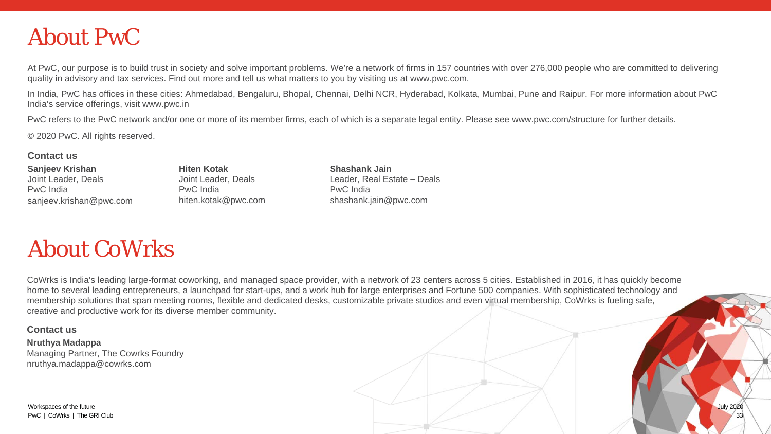# About PwC

At PwC, our purpose is to build trust in society and solve important problems. We're a network of firms in 157 countries with over 276,000 people who are committed to delivering quality in advisory and tax services. Find out more and tell us what matters to you by visiting us at www.pwc.com.

In India, PwC has offices in these cities: Ahmedabad, Bengaluru, Bhopal, Chennai, Delhi NCR, Hyderabad, Kolkata, Mumbai, Pune and Raipur. For more information about PwC India's service offerings, visit www.pwc.in

PwC refers to the PwC network and/or one or more of its member firms, each of which is a separate legal entity. Please see www.pwc.com/structure for further details.

© 2020 PwC. All rights reserved.

### **Contact us**

**Sanjeev Krishan** Joint Leader, Deals PwC India sanjeev.krishan@pwc.com

**Hiten Kotak** Joint Leader, Deals PwC India hiten.kotak@pwc.com **Shashank Jain** Leader, Real Estate – Deals PwC India shashank.jain@pwc.com

# About CoWrks

CoWrks is India's leading large-format coworking, and managed space provider, with a network of 23 centers across 5 cities. Established in 2016, it has quickly become home to several leading entrepreneurs, a launchpad for start-ups, and a work hub for large enterprises and Fortune 500 companies. With sophisticated technology and membership solutions that span meeting rooms, flexible and dedicated desks, customizable private studios and even virtual membership, CoWrks is fueling safe, creative and productive work for its diverse member community.

### **Contact us**

**Nruthya Madappa** Managing Partner, The Cowrks Foundry nruthya.madappa@cowrks.com

Workspaces of the future PwC | CoWrks | The GRI Club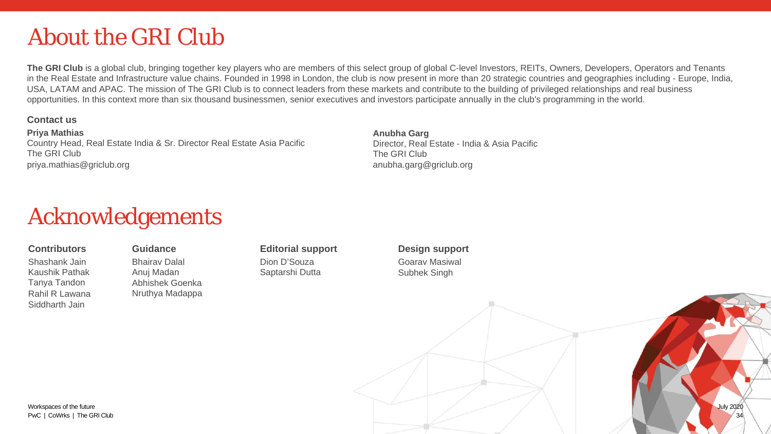# About the GRI Club

The GRI Club is a global club, bringing together key players who are members of this select group of global C-level Investors, REITs, Owners, Developers, Operators and Tenants in the Real Estate and Infrastructure value chains. Founded in 1998 in London, the club is now present in more than 20 strategic countries and geographies including - Europe, India, USA, LATAM and APAC. The mission of The GRI Club is to connect leaders from these markets and contribute to the building of privileged relationships and real business opportunities. In this context more than six thousand businessmen, senior executives and investors participate annually in the club's programming in the world.

### **Contact us**

**Priya Mathias** Country Head, Real Estate India & Sr. Director Real Estate Asia Pacific The GRI Club priya.mathias@griclub.org

**Anubha Garg** Director, Real Estate - India & Asia Pacific The GRI Club anubha.garg@griclub.org

# Acknowledgements

### **Contributors**

Shashank Jain Kaushik Pathak Tanya Tandon Rahil R Lawana Siddharth Jain

## **Guidance**

Bhairav Dalal Anuj Madan Abhishek Goenka Nruthya Madappa **Editorial support** Dion D'Souza Saptarshi Dutta

### **Design support** Goarav Masiwal Subhek Singh